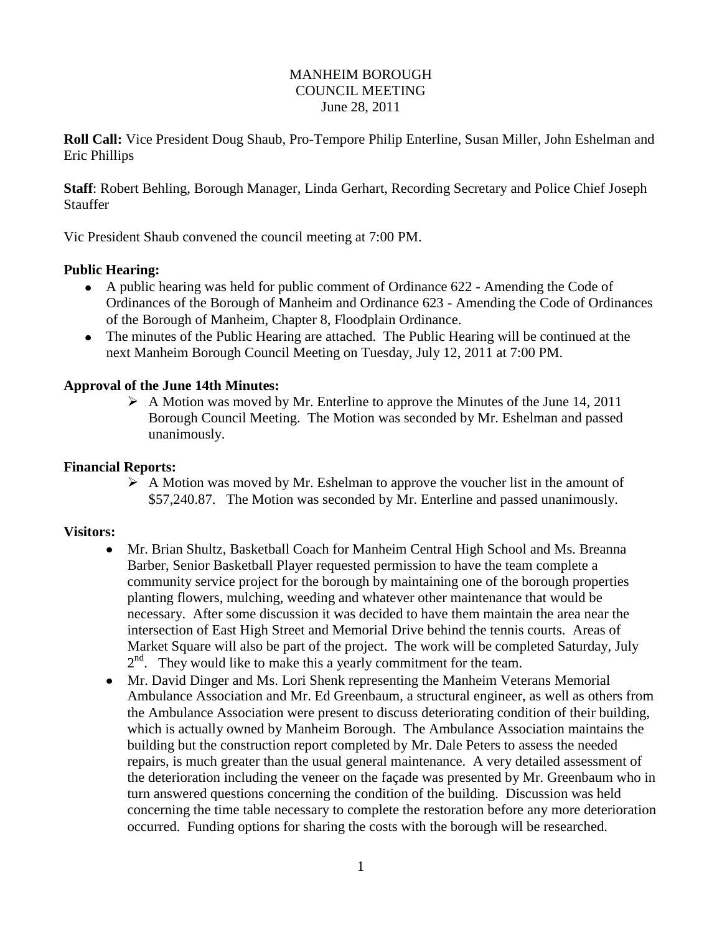#### MANHEIM BOROUGH COUNCIL MEETING June 28, 2011

**Roll Call:** Vice President Doug Shaub, Pro-Tempore Philip Enterline, Susan Miller, John Eshelman and Eric Phillips

**Staff**: Robert Behling, Borough Manager, Linda Gerhart, Recording Secretary and Police Chief Joseph **Stauffer** 

Vic President Shaub convened the council meeting at 7:00 PM.

## **Public Hearing:**

- A public hearing was held for public comment of Ordinance 622 Amending the Code of Ordinances of the Borough of Manheim and Ordinance 623 - Amending the Code of Ordinances of the Borough of Manheim, Chapter 8, Floodplain Ordinance.
- The minutes of the Public Hearing are attached. The Public Hearing will be continued at the next Manheim Borough Council Meeting on Tuesday, July 12, 2011 at 7:00 PM.

## **Approval of the June 14th Minutes:**

 $\triangleright$  A Motion was moved by Mr. Enterline to approve the Minutes of the June 14, 2011 Borough Council Meeting. The Motion was seconded by Mr. Eshelman and passed unanimously.

#### **Financial Reports:**

 $\triangleright$  A Motion was moved by Mr. Eshelman to approve the voucher list in the amount of \$57,240.87. The Motion was seconded by Mr. Enterline and passed unanimously.

#### **Visitors:**

- Mr. Brian Shultz, Basketball Coach for Manheim Central High School and Ms. Breanna  $\bullet$ Barber, Senior Basketball Player requested permission to have the team complete a community service project for the borough by maintaining one of the borough properties planting flowers, mulching, weeding and whatever other maintenance that would be necessary. After some discussion it was decided to have them maintain the area near the intersection of East High Street and Memorial Drive behind the tennis courts. Areas of Market Square will also be part of the project. The work will be completed Saturday, July 2<sup>nd</sup>. They would like to make this a yearly commitment for the team.
- Mr. David Dinger and Ms. Lori Shenk representing the Manheim Veterans Memorial Ambulance Association and Mr. Ed Greenbaum, a structural engineer, as well as others from the Ambulance Association were present to discuss deteriorating condition of their building, which is actually owned by Manheim Borough. The Ambulance Association maintains the building but the construction report completed by Mr. Dale Peters to assess the needed repairs, is much greater than the usual general maintenance. A very detailed assessment of the deterioration including the veneer on the façade was presented by Mr. Greenbaum who in turn answered questions concerning the condition of the building. Discussion was held concerning the time table necessary to complete the restoration before any more deterioration occurred. Funding options for sharing the costs with the borough will be researched.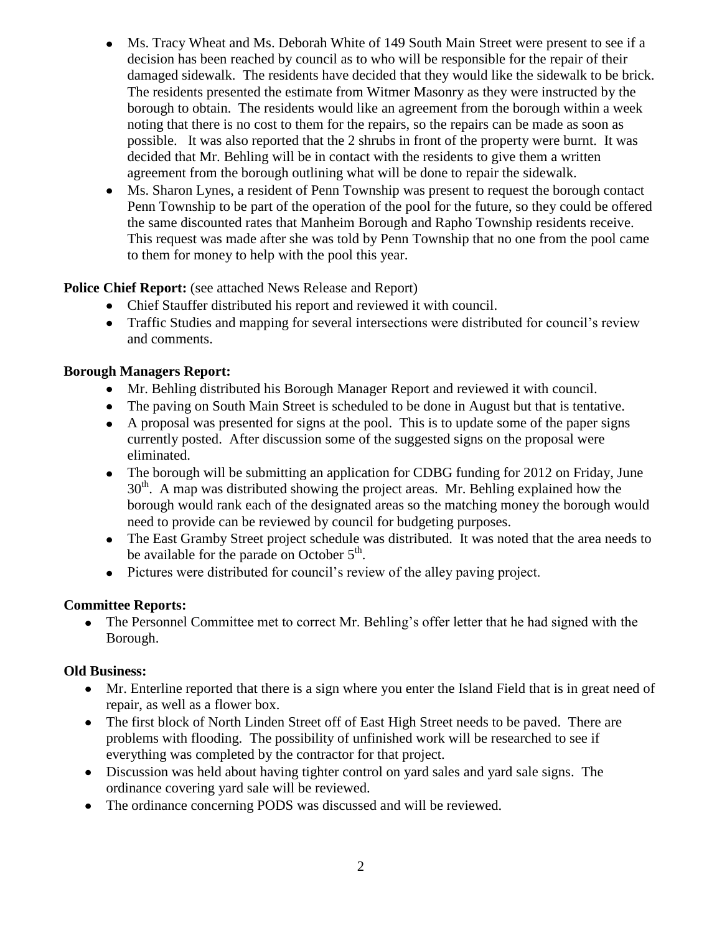- Ms. Tracy Wheat and Ms. Deborah White of 149 South Main Street were present to see if a decision has been reached by council as to who will be responsible for the repair of their damaged sidewalk. The residents have decided that they would like the sidewalk to be brick. The residents presented the estimate from Witmer Masonry as they were instructed by the borough to obtain. The residents would like an agreement from the borough within a week noting that there is no cost to them for the repairs, so the repairs can be made as soon as possible. It was also reported that the 2 shrubs in front of the property were burnt. It was decided that Mr. Behling will be in contact with the residents to give them a written agreement from the borough outlining what will be done to repair the sidewalk.
- Ms. Sharon Lynes, a resident of Penn Township was present to request the borough contact Penn Township to be part of the operation of the pool for the future, so they could be offered the same discounted rates that Manheim Borough and Rapho Township residents receive. This request was made after she was told by Penn Township that no one from the pool came to them for money to help with the pool this year.

# **Police Chief Report:** (see attached News Release and Report)

- Chief Stauffer distributed his report and reviewed it with council.
- Traffic Studies and mapping for several intersections were distributed for council's review and comments.

# **Borough Managers Report:**

- Mr. Behling distributed his Borough Manager Report and reviewed it with council.
- The paving on South Main Street is scheduled to be done in August but that is tentative.
- A proposal was presented for signs at the pool. This is to update some of the paper signs currently posted. After discussion some of the suggested signs on the proposal were eliminated.
- The borough will be submitting an application for CDBG funding for 2012 on Friday, June 30<sup>th</sup>. A map was distributed showing the project areas. Mr. Behling explained how the borough would rank each of the designated areas so the matching money the borough would need to provide can be reviewed by council for budgeting purposes.
- The East Gramby Street project schedule was distributed. It was noted that the area needs to be available for the parade on October  $5<sup>th</sup>$ .
- Pictures were distributed for council's review of the alley paving project.

# **Committee Reports:**

The Personnel Committee met to correct Mr. Behling's offer letter that he had signed with the  $\bullet$ Borough.

# **Old Business:**

- Mr. Enterline reported that there is a sign where you enter the Island Field that is in great need of repair, as well as a flower box.
- The first block of North Linden Street off of East High Street needs to be paved. There are problems with flooding. The possibility of unfinished work will be researched to see if everything was completed by the contractor for that project.
- Discussion was held about having tighter control on yard sales and yard sale signs. The ordinance covering yard sale will be reviewed.
- The ordinance concerning PODS was discussed and will be reviewed.